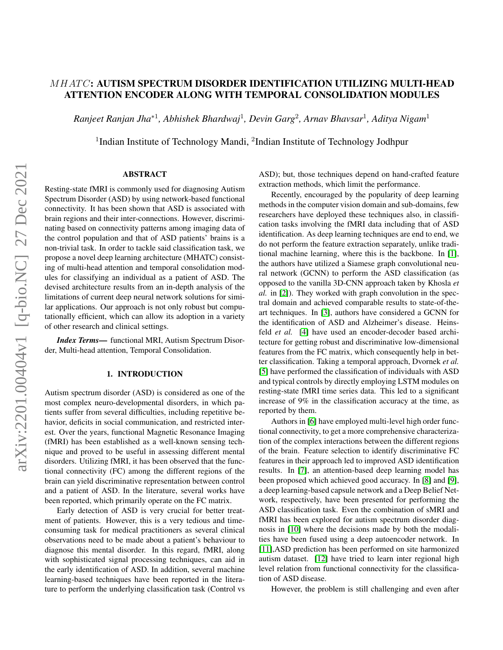# $MHATC$ : AUTISM SPECTRUM DISORDER IDENTIFICATION UTILIZING MULTI-HEAD ATTENTION ENCODER ALONG WITH TEMPORAL CONSOLIDATION MODULES

*Ranjeet Ranjan Jha*<sup>∗</sup><sup>1</sup> *, Abhishek Bhardwaj*<sup>1</sup> *, Devin Garg*<sup>2</sup> *, Arnav Bhavsar*<sup>1</sup> *, Aditya Nigam*<sup>1</sup>

<sup>1</sup>Indian Institute of Technology Mandi, <sup>2</sup>Indian Institute of Technology Jodhpur

#### ABSTRACT

Resting-state fMRI is commonly used for diagnosing Autism Spectrum Disorder (ASD) by using network-based functional connectivity. It has been shown that ASD is associated with brain regions and their inter-connections. However, discriminating based on connectivity patterns among imaging data of the control population and that of ASD patients' brains is a non-trivial task. In order to tackle said classification task, we propose a novel deep learning architecture (MHATC) consisting of multi-head attention and temporal consolidation modules for classifying an individual as a patient of ASD. The devised architecture results from an in-depth analysis of the limitations of current deep neural network solutions for similar applications. Our approach is not only robust but computationally efficient, which can allow its adoption in a variety of other research and clinical settings.

*Index Terms—* functional MRI, Autism Spectrum Disorder, Multi-head attention, Temporal Consolidation.

#### 1. INTRODUCTION

Autism spectrum disorder (ASD) is considered as one of the most complex neuro-developmental disorders, in which patients suffer from several difficulties, including repetitive behavior, deficits in social communication, and restricted interest. Over the years, functional Magnetic Resonance Imaging (fMRI) has been established as a well-known sensing technique and proved to be useful in assessing different mental disorders. Utilizing fMRI, it has been observed that the functional connectivity (FC) among the different regions of the brain can yield discriminative representation between control and a patient of ASD. In the literature, several works have been reported, which primarily operate on the FC matrix.

Early detection of ASD is very crucial for better treatment of patients. However, this is a very tedious and timeconsuming task for medical practitioners as several clinical observations need to be made about a patient's behaviour to diagnose this mental disorder. In this regard, fMRI, along with sophisticated signal processing techniques, can aid in the early identification of ASD. In addition, several machine learning-based techniques have been reported in the literature to perform the underlying classification task (Control vs

ASD); but, those techniques depend on hand-crafted feature extraction methods, which limit the performance.

Recently, encouraged by the popularity of deep learning methods in the computer vision domain and sub-domains, few researchers have deployed these techniques also, in classification tasks involving the fMRI data including that of ASD identification. As deep learning techniques are end to end, we do not perform the feature extraction separately, unlike traditional machine learning, where this is the backbone. In [\[1\]](#page-4-0), the authors have utilized a Siamese graph convolutional neural network (GCNN) to perform the ASD classification (as opposed to the vanilla 3D-CNN approach taken by Khosla *et al.* in [\[2\]](#page-4-1)). They worked with graph convolution in the spectral domain and achieved comparable results to state-of-theart techniques. In [\[3\]](#page-4-2), authors have considered a GCNN for the identification of ASD and Alzheimer's disease. Heinsfeld *et al.* [\[4\]](#page-4-3) have used an encoder-decoder based architecture for getting robust and discriminative low-dimensional features from the FC matrix, which consequently help in better classification. Taking a temporal approach, Dvornek *et al.* [\[5\]](#page-4-4) have performed the classification of individuals with ASD and typical controls by directly employing LSTM modules on resting-state fMRI time series data. This led to a significant increase of 9% in the classification accuracy at the time, as reported by them.

Authors in [\[6\]](#page-4-5) have employed multi-level high order functional connectivity, to get a more comprehensive characterization of the complex interactions between the different regions of the brain. Feature selection to identify discriminative FC features in their approach led to improved ASD identification results. In [\[7\]](#page-4-6), an attention-based deep learning model has been proposed which achieved good accuracy. In [\[8\]](#page-4-7) and [\[9\]](#page-4-8), a deep learning-based capsule network and a Deep Belief Network, respectively, have been presented for performing the ASD classification task. Even the combination of sMRI and fMRI has been explored for autism spectrum disorder diagnosis in [\[10\]](#page-4-9) where the decisions made by both the modalities have been fused using a deep autoencoder network. In [\[11\]](#page-4-10),ASD prediction has been performed on site harmonized autism dataset. [\[12\]](#page-4-11) have tried to learn inter regional high level relation from functional connectivity for the classification of ASD disease.

However, the problem is still challenging and even after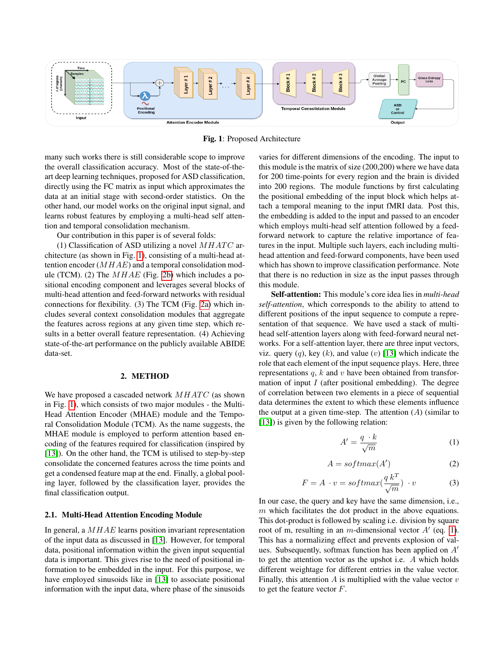<span id="page-1-0"></span>

Fig. 1: Proposed Architecture

many such works there is still considerable scope to improve the overall classification accuracy. Most of the state-of-theart deep learning techniques, proposed for ASD classification, directly using the FC matrix as input which approximates the data at an initial stage with second-order statistics. On the other hand, our model works on the original input signal, and learns robust features by employing a multi-head self attention and temporal consolidation mechanism.

Our contribution in this paper is of several folds:

(1) Classification of ASD utilizing a novel  $MHATC$  architecture (as shown in Fig. [1\)](#page-1-0), consisting of a multi-head attention encoder  $(MHAE)$  and a temporal consolidation module (TCM). (2) The  $MHAE$  (Fig. [2b\)](#page-2-0) which includes a positional encoding component and leverages several blocks of multi-head attention and feed-forward networks with residual connections for flexibility. (3) The TCM (Fig. [2a\)](#page-2-0) which includes several context consolidation modules that aggregate the features across regions at any given time step, which results in a better overall feature representation. (4) Achieving state-of-the-art performance on the publicly available ABIDE data-set.

#### 2. METHOD

We have proposed a cascaded network  $MHATC$  (as shown in Fig. [1\)](#page-1-0), which consists of two major modules - the Multi-Head Attention Encoder (MHAE) module and the Temporal Consolidation Module (TCM). As the name suggests, the MHAE module is employed to perform attention based encoding of the features required for classification (inspired by [\[13\]](#page-4-12)). On the other hand, the TCM is utilised to step-by-step consolidate the concerned features across the time points and get a condensed feature map at the end. Finally, a global pooling layer, followed by the classification layer, provides the final classification output.

#### 2.1. Multi-Head Attention Encoding Module

In general, a MHAE learns position invariant representation of the input data as discussed in [\[13\]](#page-4-12). However, for temporal data, positional information within the given input sequential data is important. This gives rise to the need of positional information to be embedded in the input. For this purpose, we have employed sinusoids like in [\[13\]](#page-4-12) to associate positional information with the input data, where phase of the sinusoids varies for different dimensions of the encoding. The input to this module is the matrix of size (200,200) where we have data for 200 time-points for every region and the brain is divided into 200 regions. The module functions by first calculating the positional embedding of the input block which helps attach a temporal meaning to the input fMRI data. Post this, the embedding is added to the input and passed to an encoder which employs multi-head self attention followed by a feedforward network to capture the relative importance of features in the input. Multiple such layers, each including multihead attention and feed-forward components, have been used which has shown to improve classification performance. Note that there is no reduction in size as the input passes through this module.

Self-attention: This module's core idea lies in *multi-head self-attention*, which corresponds to the ability to attend to different positions of the input sequence to compute a representation of that sequence. We have used a stack of multihead self-attention layers along with feed-forward neural networks. For a self-attention layer, there are three input vectors, viz. query  $(q)$ , key  $(k)$ , and value  $(v)$  [\[13\]](#page-4-12) which indicate the role that each element of the input sequence plays. Here, three representations  $q$ ,  $k$  and  $v$  have been obtained from transformation of input  $I$  (after positional embedding). The degree of correlation between two elements in a piece of sequential data determines the extent to which these elements influence the output at a given time-step. The attention  $(A)$  (similar to [\[13\]](#page-4-12)) is given by the following relation:

<span id="page-1-1"></span>
$$
A' = \frac{q \cdot k}{\sqrt{m}}\tag{1}
$$

$$
A = softmax(A')
$$
 (2)

$$
F = A \cdot v = softmax(\frac{q k^T}{\sqrt{m}}) \cdot v \tag{3}
$$

In our case, the query and key have the same dimension, i.e.,  $m$  which facilitates the dot product in the above equations. This dot-product is followed by scaling i.e. division by square root of m, resulting in an m-dimensional vector  $A'$  (eq. [1\)](#page-1-1). This has a normalizing effect and prevents explosion of values. Subsequently, softmax function has been applied on  $A<sup>'</sup>$ to get the attention vector as the upshot i.e. A which holds different weightage for different entries in the value vector. Finally, this attention  $A$  is multiplied with the value vector  $v$ to get the feature vector  $F$ .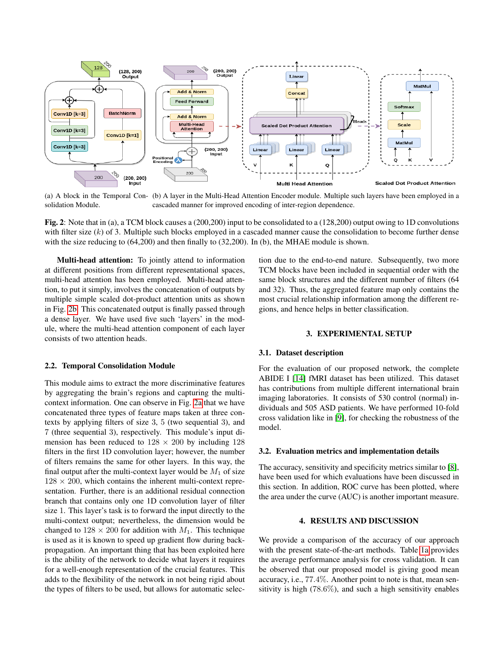<span id="page-2-0"></span>

(a) A block in the Temporal Con-(b) A layer in the Multi-Head Attention Encoder module. Multiple such layers have been employed in a solidation Module. cascaded manner for improved encoding of inter-region dependence.

Fig. 2: Note that in (a), a TCM block causes a (200,200) input to be consolidated to a (128,200) output owing to 1D convolutions with filter size  $(k)$  of 3. Multiple such blocks employed in a cascaded manner cause the consolidation to become further dense with the size reducing to (64,200) and then finally to (32,200). In (b), the MHAE module is shown.

Multi-head attention: To jointly attend to information at different positions from different representational spaces, multi-head attention has been employed. Multi-head attention, to put it simply, involves the concatenation of outputs by multiple simple scaled dot-product attention units as shown in Fig. [2b.](#page-2-0) This concatenated output is finally passed through a dense layer. We have used five such 'layers' in the module, where the multi-head attention component of each layer consists of two attention heads.

#### 2.2. Temporal Consolidation Module

This module aims to extract the more discriminative features by aggregating the brain's regions and capturing the multicontext information. One can observe in Fig. [2a](#page-2-0) that we have concatenated three types of feature maps taken at three contexts by applying filters of size 3, 5 (two sequential 3), and 7 (three sequential 3), respectively. This module's input dimension has been reduced to  $128 \times 200$  by including 128 filters in the first 1D convolution layer; however, the number of filters remains the same for other layers. In this way, the final output after the multi-context layer would be  $M_1$  of size  $128 \times 200$ , which contains the inherent multi-context representation. Further, there is an additional residual connection branch that contains only one 1D convolution layer of filter size 1. This layer's task is to forward the input directly to the multi-context output; nevertheless, the dimension would be changed to  $128 \times 200$  for addition with  $M_1$ . This technique is used as it is known to speed up gradient flow during backpropagation. An important thing that has been exploited here is the ability of the network to decide what layers it requires for a well-enough representation of the crucial features. This adds to the flexibility of the network in not being rigid about the types of filters to be used, but allows for automatic selection due to the end-to-end nature. Subsequently, two more TCM blocks have been included in sequential order with the same block structures and the different number of filters (64 and 32). Thus, the aggregated feature map only contains the most crucial relationship information among the different regions, and hence helps in better classification.

#### 3. EXPERIMENTAL SETUP

#### 3.1. Dataset description

For the evaluation of our proposed network, the complete ABIDE I [\[14\]](#page-4-13) fMRI dataset has been utilized. This dataset has contributions from multiple different international brain imaging laboratories. It consists of 530 control (normal) individuals and 505 ASD patients. We have performed 10-fold cross validation like in [\[9\]](#page-4-8), for checking the robustness of the model.

#### 3.2. Evaluation metrics and implementation details

The accuracy, sensitivity and specificity metrics similar to [\[8\]](#page-4-7), have been used for which evaluations have been discussed in this section. In addition, ROC curve has been plotted, where the area under the curve (AUC) is another important measure.

## 4. RESULTS AND DISCUSSION

We provide a comparison of the accuracy of our approach with the present state-of-the-art methods. Table [1a](#page-3-0) provides the average performance analysis for cross validation. It can be observed that our proposed model is giving good mean accuracy, i.e., 77.4%. Another point to note is that, mean sensitivity is high  $(78.6\%)$ , and such a high sensitivity enables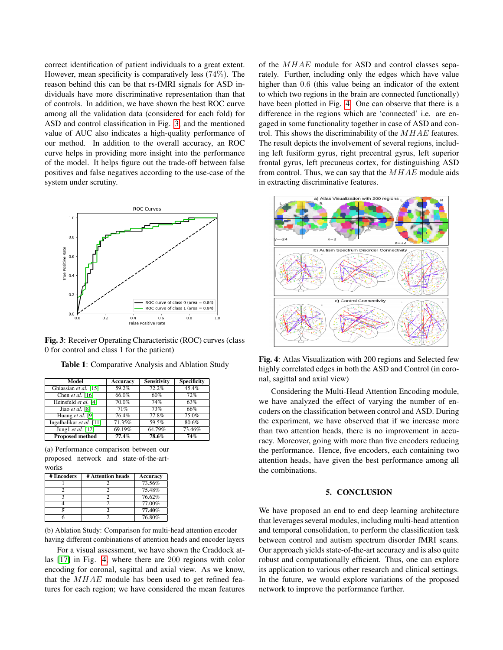correct identification of patient individuals to a great extent. However, mean specificity is comparatively less (74%). The reason behind this can be that rs-fMRI signals for ASD individuals have more discriminative representation than that of controls. In addition, we have shown the best ROC curve among all the validation data (considered for each fold) for ASD and control classification in Fig. [3,](#page-3-1) and the mentioned value of AUC also indicates a high-quality performance of our method. In addition to the overall accuracy, an ROC curve helps in providing more insight into the performance of the model. It helps figure out the trade-off between false positives and false negatives according to the use-case of the system under scrutiny.

<span id="page-3-1"></span>

Fig. 3: Receiver Operating Characteristic (ROC) curves (class 0 for control and class 1 for the patient)

<span id="page-3-0"></span>

| Table 1: Comparative Analysis and Ablation Study |  |  |
|--------------------------------------------------|--|--|
|                                                  |  |  |

| Model                    | Accuracy | <b>Sensitivity</b> | <b>Specificity</b> |
|--------------------------|----------|--------------------|--------------------|
| Ghiassian et al. [15]    | 59.2%    | 72.2%              | 45.4%              |
| Chen et al. $[16]$       | 66.0%    | 60%                | 72%                |
| Heinsfeld et al. [4]     | 70.0%    | 74%                | 63%                |
| Jiao et al. $[8]$        | 71%      | 73%                | 66%                |
| Huang et al. [9]         | 76.4%    | 77.8%              | 75.0%              |
| Ingalhalikar et al. [11] | 71.35%   | 59.5%              | 80.6%              |
| Jung1 et al. [12]        | 69.19%   | 64.79%             | 73.46%             |
| <b>Proposed method</b>   | 77.4%    | 78.6%              | 74%                |

(a) Performance comparison between our proposed network and state-of-the-artworks

| # Encoders | # Attention heads | Accuracy |
|------------|-------------------|----------|
|            |                   | 73.56%   |
|            |                   | 75.48%   |
|            |                   | 76.62%   |
|            |                   | 77.00%   |
|            |                   | 77.40%   |
|            |                   | 76.80%   |

(b) Ablation Study: Comparison for multi-head attention encoder having different combinations of attention heads and encoder layers

For a visual assessment, we have shown the Craddock atlas [\[17\]](#page-4-16) in Fig. [4,](#page-3-2) where there are 200 regions with color encoding for coronal, sagittal and axial view. As we know, that the  $MHAE$  module has been used to get refined features for each region; we have considered the mean features of the MHAE module for ASD and control classes separately. Further, including only the edges which have value higher than  $0.6$  (this value being an indicator of the extent to which two regions in the brain are connected functionally) have been plotted in Fig. [4.](#page-3-2) One can observe that there is a difference in the regions which are 'connected' i.e. are engaged in some functionality together in case of ASD and control. This shows the discriminability of the MHAE features. The result depicts the involvement of several regions, including left fusiform gyrus, right precentral gyrus, left superior frontal gyrus, left precuneus cortex, for distinguishing ASD from control. Thus, we can say that the  $MHAE$  module aids in extracting discriminative features.

<span id="page-3-2"></span>

Fig. 4: Atlas Visualization with 200 regions and Selected few highly correlated edges in both the ASD and Control (in coronal, sagittal and axial view)

Considering the Multi-Head Attention Encoding module, we have analyzed the effect of varying the number of encoders on the classification between control and ASD. During the experiment, we have observed that if we increase more than two attention heads, there is no improvement in accuracy. Moreover, going with more than five encoders reducing the performance. Hence, five encoders, each containing two attention heads, have given the best performance among all the combinations.

### 5. CONCLUSION

We have proposed an end to end deep learning architecture that leverages several modules, including multi-head attention and temporal consolidation, to perform the classification task between control and autism spectrum disorder fMRI scans. Our approach yields state-of-the-art accuracy and is also quite robust and computationally efficient. Thus, one can explore its application to various other research and clinical settings. In the future, we would explore variations of the proposed network to improve the performance further.